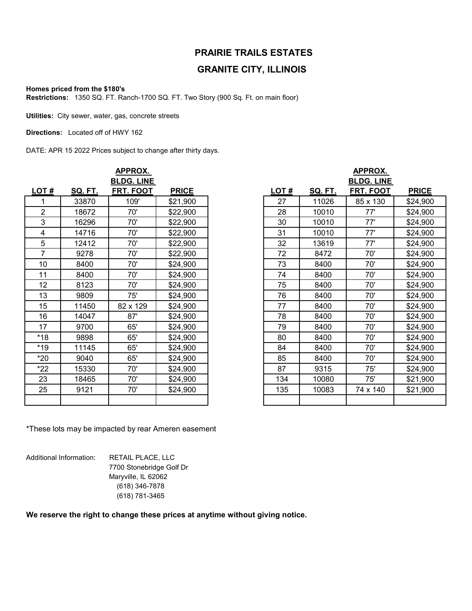## **PRAIRIE TRAILS ESTATES**

## **GRANITE CITY, ILLINOIS**

## **Homes priced from the \$180's**

**Restrictions:** 1350 SQ. FT. Ranch-1700 SQ. FT. Two Story (900 Sq. Ft. on main floor)

**Utilities:** City sewer, water, gas, concrete streets

**Directions:** Located off of HWY 162

DATE: APR 15 2022 Prices subject to change after thirty days.

| <b>APPROX.</b> |         |           |              |                   | <b>APPROX.</b> |                |           |              |
|----------------|---------|-----------|--------------|-------------------|----------------|----------------|-----------|--------------|
|                |         |           |              | <b>BLDG. LINE</b> |                |                |           |              |
| LOT#           | SQ. FT. | FRT. FOOT | <b>PRICE</b> |                   | LOT#           | <b>SQ. FT.</b> | FRT. FOOT | <b>PRICE</b> |
| 1              | 33870   | 109'      | \$21,900     |                   | 27             | 11026          | 85 x 130  | \$24,900     |
| $\overline{2}$ | 18672   | 70'       | \$22,900     |                   | 28             | 10010          | 77'       | \$24,900     |
| 3              | 16296   | 70'       | \$22,900     |                   | 30             | 10010          | 77'       | \$24,900     |
| 4              | 14716   | 70'       | \$22,900     |                   | 31             | 10010          | 77'       | \$24,900     |
| 5              | 12412   | 70'       | \$22,900     |                   | 32             | 13619          | 77'       | \$24,900     |
| 7              | 9278    | 70'       | \$22,900     |                   | 72             | 8472           | 70'       | \$24,900     |
| 10             | 8400    | 70'       | \$24,900     |                   | 73             | 8400           | 70'       | \$24,900     |
| 11             | 8400    | 70'       | \$24,900     |                   | 74             | 8400           | 70'       | \$24,900     |
| 12             | 8123    | 70'       | \$24,900     |                   | 75             | 8400           | 70'       | \$24,900     |
| 13             | 9809    | 75'       | \$24,900     |                   | 76             | 8400           | 70'       | \$24,900     |
| 15             | 11450   | 82 x 129  | \$24,900     |                   | 77             | 8400           | 70'       | \$24,900     |
| 16             | 14047   | 87'       | \$24,900     |                   | 78             | 8400           | 70'       | \$24,900     |
| 17             | 9700    | 65'       | \$24,900     |                   | 79             | 8400           | 70'       | \$24,900     |
| $*18$          | 9898    | 65'       | \$24,900     |                   | 80             | 8400           | 70'       | \$24,900     |
| $*19$          | 11145   | 65'       | \$24,900     |                   | 84             | 8400           | 70'       | \$24,900     |
| $*20$          | 9040    | 65'       | \$24,900     |                   | 85             | 8400           | 70'       | \$24,900     |
| $*22$          | 15330   | 70'       | \$24,900     |                   | 87             | 9315           | 75'       | \$24,900     |
| 23             | 18465   | 70'       | \$24,900     |                   | 134            | 10080          | 75'       | \$21,900     |
| 25             | 9121    | 70'       | \$24,900     |                   | 135            | 10083          | 74 x 140  | \$21,900     |
|                |         |           |              |                   |                |                |           |              |

| APPROX.        |         |                   |              |      | APPROX. |                   |  |  |  |
|----------------|---------|-------------------|--------------|------|---------|-------------------|--|--|--|
|                |         | <b>BLDG. LINE</b> |              |      |         | <b>BLDG. LINE</b> |  |  |  |
| OT#            | SQ. FT. | FRT. FOOT         | <b>PRICE</b> | LOT# | SQ. FT. | FRT. FOOT         |  |  |  |
| $\overline{1}$ | 33870   | 109'              | \$21,900     | 27   | 11026   | 85 x 130          |  |  |  |
| 2              | 18672   | 70'               | \$22,900     | 28   | 10010   | 77'               |  |  |  |
| $\mathfrak{S}$ | 16296   | 70'               | \$22,900     | 30   | 10010   | 77'               |  |  |  |
| $\overline{4}$ | 14716   | 70'               | \$22,900     | 31   | 10010   | 77'               |  |  |  |
| 5              | 12412   | 70'               | \$22,900     | 32   | 13619   | 77'               |  |  |  |
| $\overline{7}$ | 9278    | 70'               | \$22,900     | 72   | 8472    | 70'               |  |  |  |
| 10             | 8400    | 70'               | \$24,900     | 73   | 8400    | 70'               |  |  |  |
| 11             | 8400    | 70'               | \$24,900     | 74   | 8400    | 70'               |  |  |  |
| 12             | 8123    | 70'               | \$24,900     | 75   | 8400    | 70'               |  |  |  |
| 13             | 9809    | 75'               | \$24,900     | 76   | 8400    | 70'               |  |  |  |
| 15             | 11450   | 82 x 129          | \$24,900     | 77   | 8400    | 70'               |  |  |  |
| 16             | 14047   | 87'               | \$24,900     | 78   | 8400    | 70'               |  |  |  |
| 17             | 9700    | 65'               | \$24,900     | 79   | 8400    | 70'               |  |  |  |
| *18            | 9898    | 65'               | \$24,900     | 80   | 8400    | 70'               |  |  |  |
| *19            | 11145   | 65'               | \$24,900     | 84   | 8400    | 70'               |  |  |  |
| $*20$          | 9040    | 65'               | \$24,900     | 85   | 8400    | 70'               |  |  |  |
| $*22$          | 15330   | 70'               | \$24,900     | 87   | 9315    | 75'               |  |  |  |
| 23             | 18465   | 70'               | \$24,900     | 134  | 10080   | 75'               |  |  |  |
| 25             | 9121    | 70'               | \$24,900     | 135  | 10083   | 74 x 140          |  |  |  |
|                |         |                   |              |      |         |                   |  |  |  |

\*These lots may be impacted by rear Ameren easement

 (618) 346-7878 Maryville, IL 62062 (618) 781-3465 Additional Information: RETAIL PLACE, LLC 7700 Stonebridge Golf Dr

**We reserve the right to change these prices at anytime without giving notice.**